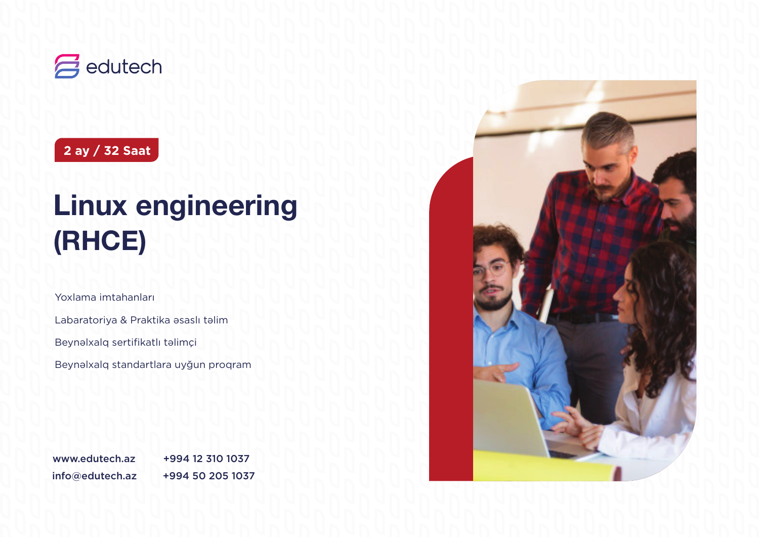

**2 ay / 32 Saat**

# **Linux engineering (RHCE)**

Yoxlama imtahanları

Labaratoriya & Praktika əsaslı təlim

Beynəlxalq sertifikatlı təlimçi

Beynəlxalq standartlara uyğun proqram

info@edutech.az +994 50 205 1037 www.edutech.az +994 12 310 1037

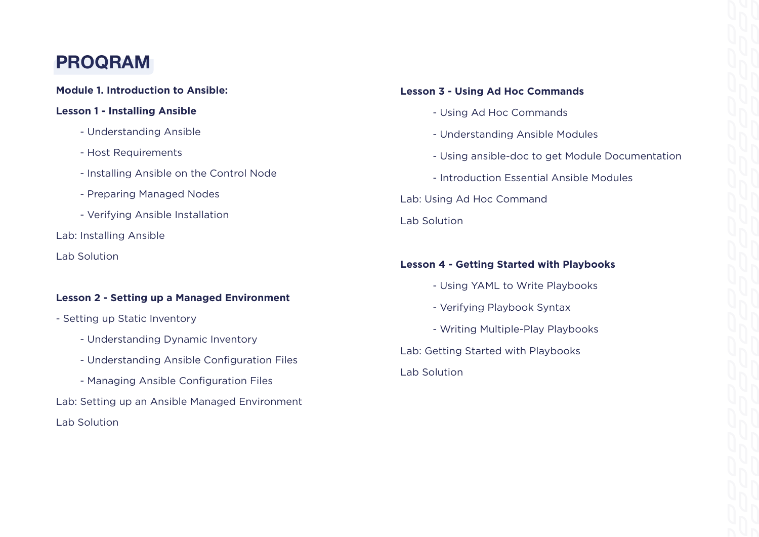## **PROQRAM**

### **Module 1. Introduction to Ansible:**

### **Lesson 1 - Installing Ansible**

- Understanding Ansible
- Host Requirements
- Installing Ansible on the Control Node
- Preparing Managed Nodes
- Verifying Ansible Installation
- Lab: Installing Ansible
- Lab Solution

### **Lesson 2 - Setting up a Managed Environment**

- Setting up Static Inventory
	- Understanding Dynamic Inventory
	- Understanding Ansible Configuration Files
	- Managing Ansible Configuration Files
- Lab: Setting up an Ansible Managed Environment
- Lab Solution

### **Lesson 3 - Using Ad Hoc Commands**

- Using Ad Hoc Commands
- Understanding Ansible Modules
- Using ansible-doc to get Module Documentation
- Introduction Essential Ansible Modules

Lab: Using Ad Hoc Command

Lab Solution

### **Lesson 4 - Getting Started with Playbooks**

- Using YAML to Write Playbooks
- Verifying Playbook Syntax
- Writing Multiple-Play Playbooks

Lab: Getting Started with Playbooks

### Lab Solution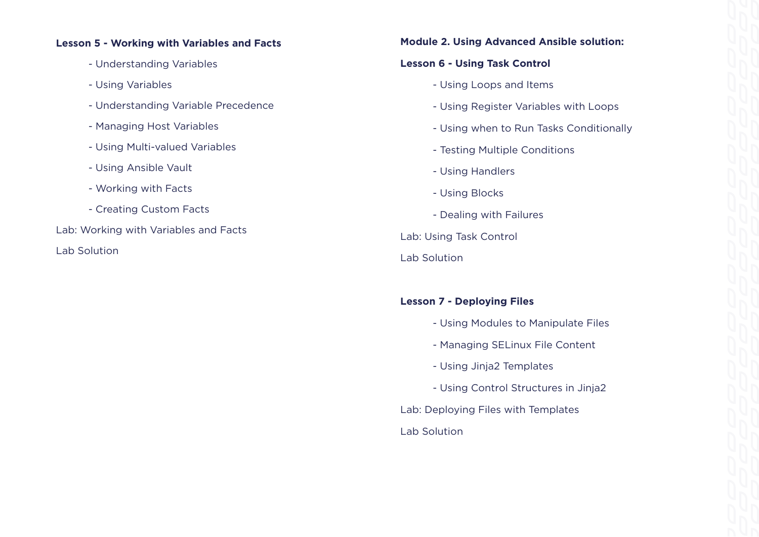### **Lesson 5 - Working with Variables and Facts**

- Understanding Variables
- Using Variables
- Understanding Variable Precedence
- Managing Host Variables
- Using Multi-valued Variables
- Using Ansible Vault
- Working with Facts
- Creating Custom Facts

Lab: Working with Variables and Facts

Lab Solution

### **Module 2. Using Advanced Ansible solution:**

### **Lesson 6 - Using Task Control**

- Using Loops and Items
- Using Register Variables with Loops
- Using when to Run Tasks Conditionally
- Testing Multiple Conditions
- Using Handlers
- Using Blocks
- Dealing with Failures
- Lab: Using Task Control
- Lab Solution

### **Lesson 7 - Deploying Files**

- Using Modules to Manipulate Files
- Managing SELinux File Content
- Using Jinja2 Templates
- Using Control Structures in Jinja2
- Lab: Deploying Files with Templates Lab Solution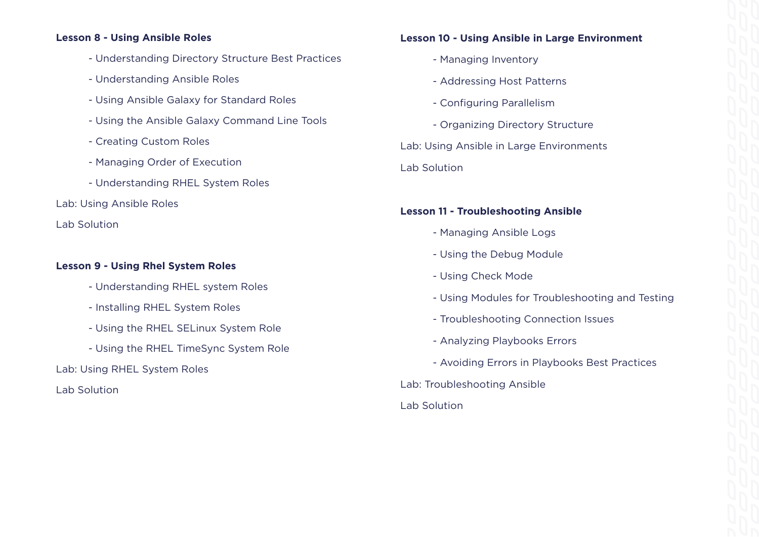### **Lesson 8 - Using Ansible Roles**

- Understanding Directory Structure Best Practices
- Understanding Ansible Roles
- Using Ansible Galaxy for Standard Roles
- Using the Ansible Galaxy Command Line Tools
- Creating Custom Roles
- Managing Order of Execution
- Understanding RHEL System Roles
- Lab: Using Ansible Roles

Lab Solution

### **Lesson 9 - Using Rhel System Roles**

- Understanding RHEL system Roles
- Installing RHEL System Roles
- Using the RHEL SELinux System Role
- Using the RHEL TimeSync System Role

Lab: Using RHEL System Roles

Lab Solution

### **Lesson 10 - Using Ansible in Large Environment**

- Managing Inventory
- Addressing Host Patterns
- Configuring Parallelism
- Organizing Directory Structure

Lab: Using Ansible in Large Environments Lab Solution

### **Lesson 11 - Troubleshooting Ansible**

- Managing Ansible Logs
- Using the Debug Module
- Using Check Mode
- Using Modules for Troubleshooting and Testing
- Troubleshooting Connection Issues
- Analyzing Playbooks Errors
- Avoiding Errors in Playbooks Best Practices
- Lab: Troubleshooting Ansible
- Lab Solution